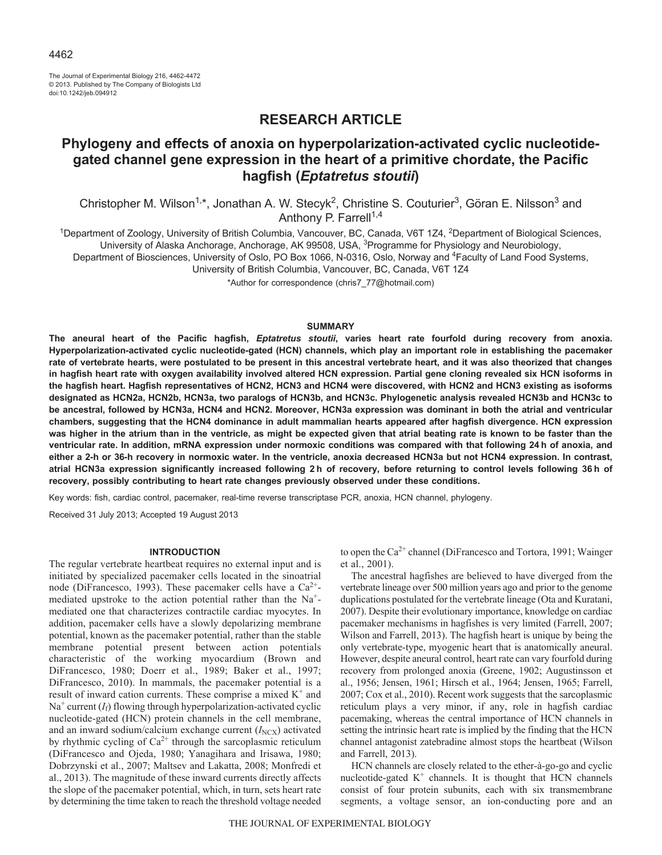The Journal of Experimental Biology 216, 4462-4472 © 2013. Published by The Company of Biologists Ltd doi:10.1242/jeb.094912

# **RESEARCH ARTICLE**

# **Phylogeny and effects of anoxia on hyperpolarization-activated cyclic nucleotidegated channel gene expression in the heart of a primitive chordate, the Pacific hagfish (***Eptatretus stoutii***)**

Christopher M. Wilson<sup>1,\*</sup>, Jonathan A. W. Stecyk<sup>2</sup>, Christine S. Couturier<sup>3</sup>, Göran E. Nilsson<sup>3</sup> and Anthony P. Farrell<sup>1,4</sup>

<sup>1</sup>Department of Zoology, University of British Columbia, Vancouver, BC, Canada, V6T 1Z4, <sup>2</sup>Department of Biological Sciences, University of Alaska Anchorage, Anchorage, AK 99508, USA, 3Programme for Physiology and Neurobiology, Department of Biosciences, University of Oslo, PO Box 1066, N-0316, Oslo, Norway and <sup>4</sup>Faculty of Land Food Systems, University of British Columbia, Vancouver, BC, Canada, V6T 1Z4

\*Author for correspondence (chris7\_77@hotmail.com)

## **SUMMARY**

**The aneural heart of the Pacific hagfish,** *Eptatretus stoutii***, varies heart rate fourfold during recovery from anoxia. Hyperpolarization-activated cyclic nucleotide-gated (HCN) channels, which play an important role in establishing the pacemaker rate of vertebrate hearts, were postulated to be present in this ancestral vertebrate heart, and it was also theorized that changes in hagfish heart rate with oxygen availability involved altered HCN expression. Partial gene cloning revealed six HCN isoforms in the hagfish heart. Hagfish representatives of HCN2, HCN3 and HCN4 were discovered, with HCN2 and HCN3 existing as isoforms designated as HCN2a, HCN2b, HCN3a, two paralogs of HCN3b, and HCN3c. Phylogenetic analysis revealed HCN3b and HCN3c to be ancestral, followed by HCN3a, HCN4 and HCN2. Moreover, HCN3a expression was dominant in both the atrial and ventricular chambers, suggesting that the HCN4 dominance in adult mammalian hearts appeared after hagfish divergence. HCN expression was higher in the atrium than in the ventricle, as might be expected given that atrial beating rate is known to be faster than the ventricular rate. In addition, mRNA expression under normoxic conditions was compared with that following 24 h of anoxia, and either a 2-h or 36-h recovery in normoxic water. In the ventricle, anoxia decreased HCN3a but not HCN4 expression. In contrast, atrial HCN3a expression significantly increased following 2 h of recovery, before returning to control levels following 36 h of recovery, possibly contributing to heart rate changes previously observed under these conditions.**

Key words: fish, cardiac control, pacemaker, real-time reverse transcriptase PCR, anoxia, HCN channel, phylogeny.

Received 31 July 2013; Accepted 19 August 2013

## **INTRODUCTION**

The regular vertebrate heartbeat requires no external input and is initiated by specialized pacemaker cells located in the sinoatrial node (DiFrancesco, 1993). These pacemaker cells have a  $Ca^{2+}$ mediated upstroke to the action potential rather than the Na+ mediated one that characterizes contractile cardiac myocytes. In addition, pacemaker cells have a slowly depolarizing membrane potential, known as the pacemaker potential, rather than the stable membrane potential present between action potentials characteristic of the working myocardium (Brown and DiFrancesco, 1980; Doerr et al., 1989; Baker et al., 1997; DiFrancesco, 2010). In mammals, the pacemaker potential is a result of inward cation currents. These comprise a mixed  $K^+$  and  $Na<sup>+</sup> current ( $I<sub>f</sub>$ )$  flowing through hyperpolarization-activated cyclic nucleotide-gated (HCN) protein channels in the cell membrane, and an inward sodium/calcium exchange current  $(I<sub>NCX</sub>)$  activated by rhythmic cycling of  $Ca^{2+}$  through the sarcoplasmic reticulum (DiFrancesco and Ojeda, 1980; Yanagihara and Irisawa, 1980; Dobrzynski et al., 2007; Maltsev and Lakatta, 2008; Monfredi et al., 2013). The magnitude of these inward currents directly affects the slope of the pacemaker potential, which, in turn, sets heart rate by determining the time taken to reach the threshold voltage needed to open the Ca<sup>2+</sup> channel (DiFrancesco and Tortora, 1991; Wainger et al., 2001).

The ancestral hagfishes are believed to have diverged from the vertebrate lineage over 500 million years ago and prior to the genome duplications postulated for the vertebrate lineage (Ota and Kuratani, 2007). Despite their evolutionary importance, knowledge on cardiac pacemaker mechanisms in hagfishes is very limited (Farrell, 2007; Wilson and Farrell, 2013). The hagfish heart is unique by being the only vertebrate-type, myogenic heart that is anatomically aneural. However, despite aneural control, heart rate can vary fourfold during recovery from prolonged anoxia (Greene, 1902; Augustinsson et al., 1956; Jensen, 1961; Hirsch et al., 1964; Jensen, 1965; Farrell, 2007; Cox et al., 2010). Recent work suggests that the sarcoplasmic reticulum plays a very minor, if any, role in hagfish cardiac pacemaking, whereas the central importance of HCN channels in setting the intrinsic heart rate is implied by the finding that the HCN channel antagonist zatebradine almost stops the heartbeat (Wilson and Farrell, 2013).

HCN channels are closely related to the ether-à-go-go and cyclic nucleotide-gated  $K^+$  channels. It is thought that HCN channels consist of four protein subunits, each with six transmembrane segments, a voltage sensor, an ion-conducting pore and an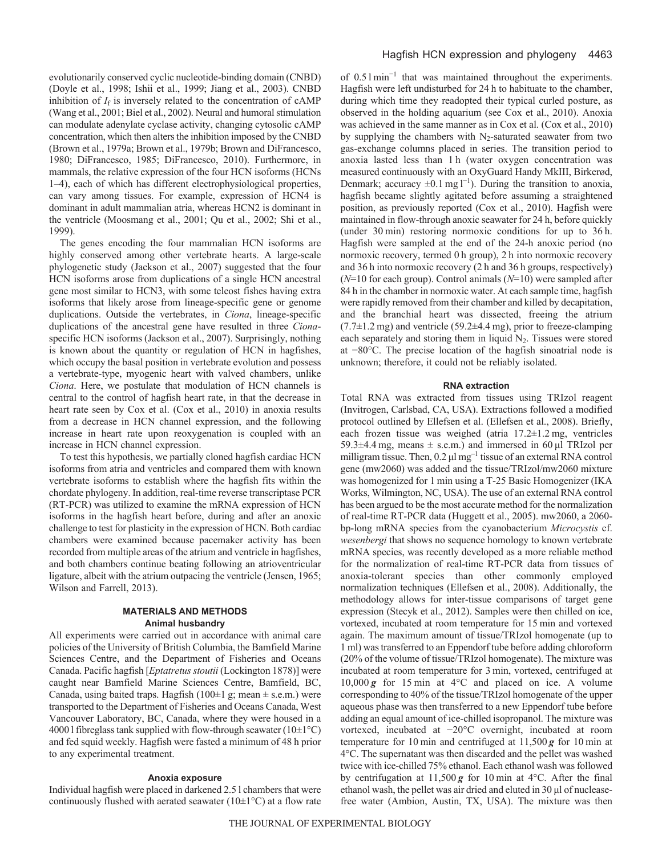evolutionarily conserved cyclic nucleotide-binding domain (CNBD) (Doyle et al., 1998; Ishii et al., 1999; Jiang et al., 2003). CNBD inhibition of  $I_f$  is inversely related to the concentration of  $cAMP$ (Wang et al., 2001; Biel et al., 2002). Neural and humoral stimulation can modulate adenylate cyclase activity, changing cytosolic cAMP concentration, which then alters the inhibition imposed by the CNBD (Brown et al., 1979a; Brown et al., 1979b; Brown and DiFrancesco, 1980; DiFrancesco, 1985; DiFrancesco, 2010). Furthermore, in mammals, the relative expression of the four HCN isoforms (HCNs 1–4), each of which has different electrophysiological properties, can vary among tissues. For example, expression of HCN4 is dominant in adult mammalian atria, whereas HCN2 is dominant in the ventricle (Moosmang et al., 2001; Qu et al., 2002; Shi et al., 1999).

The genes encoding the four mammalian HCN isoforms are highly conserved among other vertebrate hearts. A large-scale phylogenetic study (Jackson et al., 2007) suggested that the four HCN isoforms arose from duplications of a single HCN ancestral gene most similar to HCN3, with some teleost fishes having extra isoforms that likely arose from lineage-specific gene or genome duplications. Outside the vertebrates, in *Ciona*, lineage-specific duplications of the ancestral gene have resulted in three *Ciona*specific HCN isoforms (Jackson et al., 2007). Surprisingly, nothing is known about the quantity or regulation of HCN in hagfishes, which occupy the basal position in vertebrate evolution and possess a vertebrate-type, myogenic heart with valved chambers, unlike *Ciona*. Here, we postulate that modulation of HCN channels is central to the control of hagfish heart rate, in that the decrease in heart rate seen by Cox et al. (Cox et al., 2010) in anoxia results from a decrease in HCN channel expression, and the following increase in heart rate upon reoxygenation is coupled with an increase in HCN channel expression.

To test this hypothesis, we partially cloned hagfish cardiac HCN isoforms from atria and ventricles and compared them with known vertebrate isoforms to establish where the hagfish fits within the chordate phylogeny. In addition, real-time reverse transcriptase PCR (RT-PCR) was utilized to examine the mRNA expression of HCN isoforms in the hagfish heart before, during and after an anoxic challenge to test for plasticity in the expression of HCN. Both cardiac chambers were examined because pacemaker activity has been recorded from multiple areas of the atrium and ventricle in hagfishes, and both chambers continue beating following an atrioventricular ligature, albeit with the atrium outpacing the ventricle (Jensen, 1965; Wilson and Farrell, 2013).

## **MATERIALS AND METHODS Animal husbandry**

All experiments were carried out in accordance with animal care policies of the University of British Columbia, the Bamfield Marine Sciences Centre, and the Department of Fisheries and Oceans Canada. Pacific hagfish [*Eptatretus stoutii* (Lockington 1878)] were caught near Bamfield Marine Sciences Centre, Bamfield, BC, Canada, using baited traps. Hagfish ( $100±1$  g; mean  $±$  s.e.m.) were transported to the Department of Fisheries and Oceans Canada, West Vancouver Laboratory, BC, Canada, where they were housed in a 4000 l fibreglass tank supplied with flow-through seawater ( $10\pm1\textdegree C$ ) and fed squid weekly. Hagfish were fasted a minimum of 48 h prior to any experimental treatment.

## **Anoxia exposure**

Individual hagfish were placed in darkened 2.5 l chambers that were continuously flushed with aerated seawater ( $10\pm1\textdegree C$ ) at a flow rate of 0.5 l min<sup>−</sup><sup>1</sup> that was maintained throughout the experiments. Hagfish were left undisturbed for 24 h to habituate to the chamber, during which time they readopted their typical curled posture, as observed in the holding aquarium (see Cox et al., 2010). Anoxia was achieved in the same manner as in Cox et al. (Cox et al., 2010) by supplying the chambers with  $N_2$ -saturated seawater from two gas-exchange columns placed in series. The transition period to anoxia lasted less than 1 h (water oxygen concentration was measured continuously with an OxyGuard Handy MkIII, Birkerød, Denmark; accuracy  $\pm 0.1$  mg  $l^{-1}$ ). During the transition to anoxia, hagfish became slightly agitated before assuming a straightened position, as previously reported (Cox et al., 2010). Hagfish were maintained in flow-through anoxic seawater for 24 h, before quickly (under 30 min) restoring normoxic conditions for up to 36 h. Hagfish were sampled at the end of the 24-h anoxic period (no normoxic recovery, termed 0 h group), 2 h into normoxic recovery and 36 h into normoxic recovery (2 h and 36 h groups, respectively) (*N*=10 for each group). Control animals (*N*=10) were sampled after 84 h in the chamber in normoxic water. At each sample time, hagfish were rapidly removed from their chamber and killed by decapitation, and the branchial heart was dissected, freeing the atrium  $(7.7\pm1.2 \text{ mg})$  and ventricle  $(59.2\pm4.4 \text{ mg})$ , prior to freeze-clamping each separately and storing them in liquid  $N_2$ . Tissues were stored at −80°C. The precise location of the hagfish sinoatrial node is unknown; therefore, it could not be reliably isolated.

## **RNA extraction**

Total RNA was extracted from tissues using TRIzol reagent (Invitrogen, Carlsbad, CA, USA). Extractions followed a modified protocol outlined by Ellefsen et al. (Ellefsen et al., 2008). Briefly, each frozen tissue was weighed (atria 17.2±1.2 mg, ventricles 59.3 $\pm$ 4.4 mg, means  $\pm$  s.e.m.) and immersed in 60  $\mu$ l TRIzol per milligram tissue. Then, 0.2 μl mg–1 tissue of an external RNA control gene (mw2060) was added and the tissue/TRIzol/mw2060 mixture was homogenized for 1 min using a T-25 Basic Homogenizer (IKA Works, Wilmington, NC, USA). The use of an external RNA control has been argued to be the most accurate method for the normalization of real-time RT-PCR data (Huggett et al., 2005). mw2060, a 2060 bp-long mRNA species from the cyanobacterium *Microcystis* cf. *wesenbergi* that shows no sequence homology to known vertebrate mRNA species, was recently developed as a more reliable method for the normalization of real-time RT-PCR data from tissues of anoxia-tolerant species than other commonly employed normalization techniques (Ellefsen et al., 2008). Additionally, the methodology allows for inter-tissue comparisons of target gene expression (Stecyk et al., 2012). Samples were then chilled on ice, vortexed, incubated at room temperature for 15 min and vortexed again. The maximum amount of tissue/TRIzol homogenate (up to 1 ml) was transferred to an Eppendorf tube before adding chloroform (20% of the volume of tissue/TRIzol homogenate). The mixture was incubated at room temperature for 3 min, vortexed, centrifuged at 10,000  $g$  for 15 min at 4 $\degree$ C and placed on ice. A volume corresponding to 40% of the tissue/TRIzol homogenate of the upper aqueous phase was then transferred to a new Eppendorf tube before adding an equal amount of ice-chilled isopropanol. The mixture was vortexed, incubated at −20°C overnight, incubated at room temperature for 10 min and centrifuged at 11,500 *g* for 10 min at 4°C. The supernatant was then discarded and the pellet was washed twice with ice-chilled 75% ethanol. Each ethanol wash was followed by centrifugation at  $11,500g$  for 10 min at 4°C. After the final ethanol wash, the pellet was air dried and eluted in 30 μl of nucleasefree water (Ambion, Austin, TX, USA). The mixture was then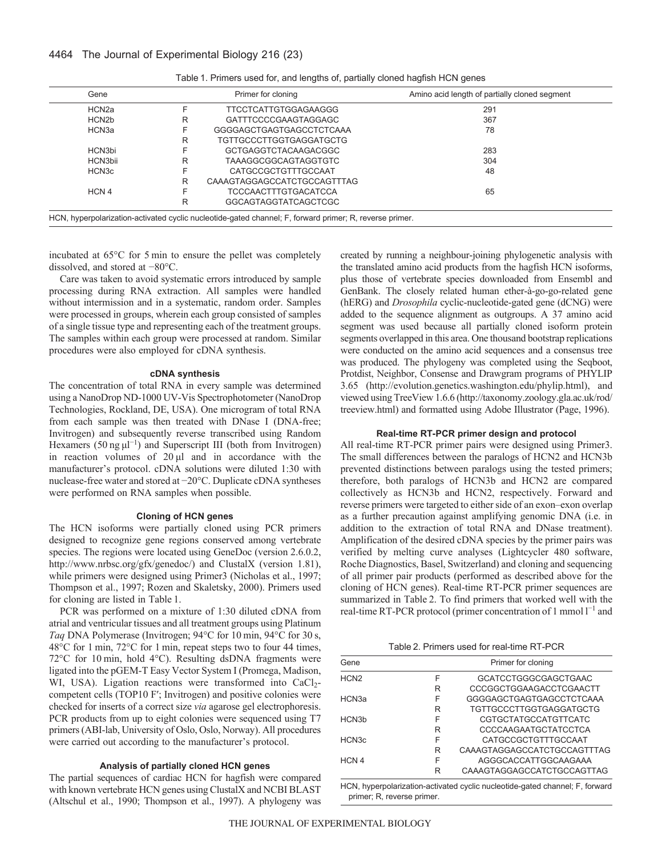4464 The Journal of Experimental Biology 216 (23)

| Gene               |   | Primer for cloning             | Amino acid length of partially cloned segment |
|--------------------|---|--------------------------------|-----------------------------------------------|
| HCN2a              |   | <b>TTCCTCATTGTGGAGAAGGG</b>    | 291                                           |
| HCN <sub>2</sub> b | R | GATTTCCCCGAAGTAGGAGC           | 367                                           |
| HCN3a              |   | GGGGAGCTGAGTGAGCCTCTCAAA       | 78                                            |
|                    | R | <b>TGTTGCCCTTGGTGAGGATGCTG</b> |                                               |
| HCN3bi             |   | GCTGAGGTCTACAAGACGGC           | 283                                           |
| HCN3bii            | R | TAAAGGCGGCAGTAGGTGTC           | 304                                           |
| HCN <sub>3</sub> c |   | CATGCCGCTGTTTGCCAAT            | 48                                            |
|                    | R | CAAAGTAGGAGCCATCTGCCAGTTTAG    |                                               |
| HCN 4              |   | <b>TCCCAACTTTGTGACATCCA</b>    | 65                                            |
|                    | R | GGCAGTAGGTATCAGCTCGC           |                                               |

| Table 1. Primers used for, and lengths of, partially cloned hagfish HCN genes |  |  |  |
|-------------------------------------------------------------------------------|--|--|--|
|                                                                               |  |  |  |

incubated at 65°C for 5 min to ensure the pellet was completely dissolved, and stored at −80°C.

Care was taken to avoid systematic errors introduced by sample processing during RNA extraction. All samples were handled without intermission and in a systematic, random order. Samples were processed in groups, wherein each group consisted of samples of a single tissue type and representing each of the treatment groups. The samples within each group were processed at random. Similar procedures were also employed for cDNA synthesis.

## **cDNA synthesis**

The concentration of total RNA in every sample was determined using a NanoDrop ND-1000 UV-Vis Spectrophotometer (NanoDrop Technologies, Rockland, DE, USA). One microgram of total RNA from each sample was then treated with DNase I (DNA-free; Invitrogen) and subsequently reverse transcribed using Random Hexamers (50 ng $\mu$ l<sup>-1</sup>) and Superscript III (both from Invitrogen) in reaction volumes of  $20 \mu l$  and in accordance with the manufacturer's protocol. cDNA solutions were diluted 1:30 with nuclease-free water and stored at −20°C. Duplicate cDNA syntheses were performed on RNA samples when possible.

## **Cloning of HCN genes**

The HCN isoforms were partially cloned using PCR primers designed to recognize gene regions conserved among vertebrate species. The regions were located using GeneDoc (version 2.6.0.2, http://www.nrbsc.org/gfx/genedoc/) and ClustalX (version 1.81), while primers were designed using Primer3 (Nicholas et al., 1997; Thompson et al., 1997; Rozen and Skaletsky, 2000). Primers used for cloning are listed in Table 1.

PCR was performed on a mixture of 1:30 diluted cDNA from atrial and ventricular tissues and all treatment groups using Platinum *Taq* DNA Polymerase (Invitrogen; 94°C for 10 min, 94°C for 30 s, 48°C for 1 min, 72°C for 1 min, repeat steps two to four 44 times, 72°C for 10 min, hold 4°C). Resulting dsDNA fragments were ligated into the pGEM-T Easy Vector System I (Promega, Madison, WI, USA). Ligation reactions were transformed into CaCl<sub>2</sub>competent cells (TOP10 F′; Invitrogen) and positive colonies were checked for inserts of a correct size *via* agarose gel electrophoresis. PCR products from up to eight colonies were sequenced using T7 primers (ABI-lab, University of Oslo, Oslo, Norway). All procedures were carried out according to the manufacturer's protocol.

## **Analysis of partially cloned HCN genes**

The partial sequences of cardiac HCN for hagfish were compared with known vertebrate HCN genes using ClustalX and NCBI BLAST (Altschul et al., 1990; Thompson et al., 1997). A phylogeny was created by running a neighbour-joining phylogenetic analysis with the translated amino acid products from the hagfish HCN isoforms, plus those of vertebrate species downloaded from Ensembl and GenBank. The closely related human ether-à-go-go-related gene (hERG) and *Drosophila* cyclic-nucleotide-gated gene (dCNG) were added to the sequence alignment as outgroups. A 37 amino acid segment was used because all partially cloned isoform protein segments overlapped in this area. One thousand bootstrap replications were conducted on the amino acid sequences and a consensus tree was produced. The phylogeny was completed using the Seqboot, Protdist, Neighbor, Consense and Drawgram programs of PHYLIP 3.65 (http://evolution.genetics.washington.edu/phylip.html), and viewed using TreeView 1.6.6 (http://taxonomy.zoology.gla.ac.uk/rod/ treeview.html) and formatted using Adobe Illustrator (Page, 1996).

## **Real-time RT-PCR primer design and protocol**

All real-time RT-PCR primer pairs were designed using Primer3. The small differences between the paralogs of HCN2 and HCN3b prevented distinctions between paralogs using the tested primers; therefore, both paralogs of HCN3b and HCN2 are compared collectively as HCN3b and HCN2, respectively. Forward and reverse primers were targeted to either side of an exon–exon overlap as a further precaution against amplifying genomic DNA (i.e. in addition to the extraction of total RNA and DNase treatment). Amplification of the desired cDNA species by the primer pairs was verified by melting curve analyses (Lightcycler 480 software, Roche Diagnostics, Basel, Switzerland) and cloning and sequencing of all primer pair products (performed as described above for the cloning of HCN genes). Real-time RT-PCR primer sequences are summarized in Table 2. To find primers that worked well with the real-time RT-PCR protocol (primer concentration of 1 mmol  $l^{-1}$  and

|  |  |  |  | Table 2. Primers used for real-time RT-PCR |  |  |
|--|--|--|--|--------------------------------------------|--|--|
|--|--|--|--|--------------------------------------------|--|--|

| Gene               |   | Primer for cloning             |
|--------------------|---|--------------------------------|
| HCN <sub>2</sub>   | F | GCATCCTGGGCGAGCTGAAC           |
|                    | R | CCCGGCTGGAAGACCTCGAACTT        |
| HCN <sub>3a</sub>  | F | GGGGAGCTGAGTGAGCCTCTCAAA       |
|                    | R | <b>TGTTGCCCTTGGTGAGGATGCTG</b> |
| HCN <sub>3</sub> h | F | CGTGCTATGCCATGTTCATC           |
|                    | R | CCCCAAGAATGCTATCCTCA           |
| HCN <sub>3</sub> c | F | CATGCCGCTGTTTGCCAAT            |
|                    | R | CAAAGTAGGAGCCATCTGCCAGTTTAG    |
| HCN <sub>4</sub>   | F | AGGGCACCATTGGCAAGAAA           |
|                    | R | CAAAGTAGGAGCCATCTGCCAGTTAG     |

HCN, hyperpolarization-activated cyclic nucleotide-gated channel; F, forward primer; R, reverse primer.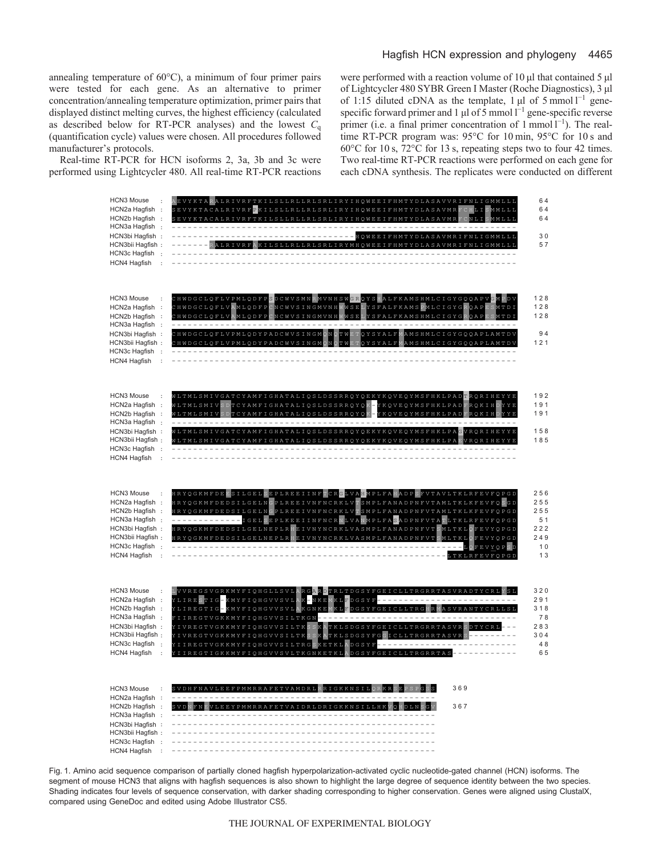annealing temperature of 60°C), a minimum of four primer pairs were tested for each gene. As an alternative to primer concentration/annealing temperature optimization, primer pairs that displayed distinct melting curves, the highest efficiency (calculated as described below for RT-PCR analyses) and the lowest  $C_q$ (quantification cycle) values were chosen. All procedures followed manufacturer's protocols.

Real-time RT-PCR for HCN isoforms 2, 3a, 3b and 3c were performed using Lightcycler 480. All real-time RT-PCR reactions were performed with a reaction volume of 10 μl that contained 5 μl of Lightcycler 480 SYBR Green I Master (Roche Diagnostics), 3 μl of 1:15 diluted cDNA as the template, 1  $\mu$ l of 5 mmol l<sup>-1</sup> genespecific forward primer and 1  $\mu$ l of 5 mmol l<sup>-1</sup> gene-specific reverse primer (i.e. a final primer concentration of  $1$  mmol  $1^{-1}$ ). The realtime RT-PCR program was: 95°C for 10 min, 95°C for 10 s and 60°C for 10 s, 72°C for 13 s, repeating steps two to four 42 times. Two real-time RT-PCR reactions were performed on each gene for each cDNA synthesis. The replicates were conducted on different



Fig. 1. Amino acid sequence comparison of partially cloned hagfish hyperpolarization-activated cyclic nucleotide-gated channel (HCN) isoforms. The segment of mouse HCN3 that aligns with hagfish sequences is also shown to highlight the large degree of sequence identity between the two species. Shading indicates four levels of sequence conservation, with darker shading corresponding to higher conservation. Genes were aligned using ClustalX, compared using GeneDoc and edited using Adobe Illustrator CS5.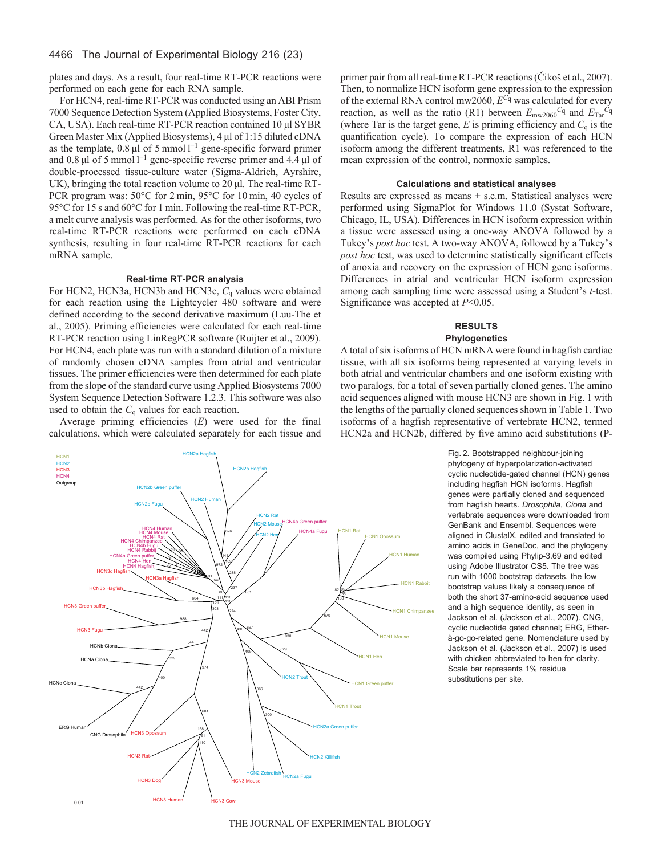## 4466 The Journal of Experimental Biology 216 (23)

plates and days. As a result, four real-time RT-PCR reactions were performed on each gene for each RNA sample.

For HCN4, real-time RT-PCR was conducted using an ABI Prism 7000 Sequence Detection System (Applied Biosystems, Foster City, CA, USA). Each real-time RT-PCR reaction contained 10 μl SYBR Green Master Mix (Applied Biosystems), 4 μl of 1:15 diluted cDNA as the template, 0.8  $\mu$ l of 5 mmol  $l^{-1}$  gene-specific forward primer and 0.8  $\mu$ l of 5 mmol l<sup>-1</sup> gene-specific reverse primer and 4.4  $\mu$ l of double-processed tissue-culture water (Sigma-Aldrich, Ayrshire, UK), bringing the total reaction volume to 20 μl. The real-time RT-PCR program was: 50°C for 2 min, 95°C for 10 min, 40 cycles of 95°C for 15 s and 60°C for 1 min. Following the real-time RT-PCR, a melt curve analysis was performed. As for the other isoforms, two real-time RT-PCR reactions were performed on each cDNA synthesis, resulting in four real-time RT-PCR reactions for each mRNA sample.

## **Real-time RT-PCR analysis**

For HCN2, HCN3a, HCN3b and HCN3c, *C*<sup>q</sup> values were obtained for each reaction using the Lightcycler 480 software and were defined according to the second derivative maximum (Luu-The et al., 2005). Priming efficiencies were calculated for each real-time RT-PCR reaction using LinRegPCR software (Ruijter et al., 2009). For HCN4, each plate was run with a standard dilution of a mixture of randomly chosen cDNA samples from atrial and ventricular tissues. The primer efficiencies were then determined for each plate from the slope of the standard curve using Applied Biosystems 7000 System Sequence Detection Software 1.2.3. This software was also used to obtain the  $C_q$  values for each reaction.

Average priming efficiencies (*E*) were used for the final calculations, which were calculated separately for each tissue and primer pair from all real-time RT-PCR reactions (Čikoš et al., 2007). Then, to normalize HCN isoform gene expression to the expression of the external RNA control mw2060,  $\overline{E}^{C_q}$  was calculated for every reaction, as well as the ratio (R1) between  $\overline{E}_{\text{mw2060}}c_{q}$  and  $\overline{E}_{\text{Tar}}c_{q}$ (where Tar is the target gene,  $E$  is priming efficiency and  $C<sub>q</sub>$  is the quantification cycle). To compare the expression of each HCN isoform among the different treatments, R1 was referenced to the mean expression of the control, normoxic samples.

### **Calculations and statistical analyses**

Results are expressed as means  $\pm$  s.e.m. Statistical analyses were performed using SigmaPlot for Windows 11.0 (Systat Software, Chicago, IL, USA). Differences in HCN isoform expression within a tissue were assessed using a one-way ANOVA followed by a Tukey's *post hoc* test. A two-way ANOVA, followed by a Tukey's *post hoc* test, was used to determine statistically significant effects of anoxia and recovery on the expression of HCN gene isoforms. Differences in atrial and ventricular HCN isoform expression among each sampling time were assessed using a Student's *t*-test. Significance was accepted at *P*<0.05.

## **RESULTS**

## **Phylogenetics**

A total of six isoforms of HCN mRNA were found in hagfish cardiac tissue, with all six isoforms being represented at varying levels in both atrial and ventricular chambers and one isoform existing with two paralogs, for a total of seven partially cloned genes. The amino acid sequences aligned with mouse HCN3 are shown in Fig. 1 with the lengths of the partially cloned sequences shown in Table 1. Two isoforms of a hagfish representative of vertebrate HCN2, termed HCN2a and HCN2b, differed by five amino acid substitutions (P-

> Fig. 2. Bootstrapped neighbour-joining phylogeny of hyperpolarization-activated cyclic nucleotide-gated channel (HCN) genes including hagfish HCN isoforms. Hagfish genes were partially cloned and sequenced from hagfish hearts. *Drosophila*, *Ciona* and vertebrate sequences were downloaded from GenBank and Ensembl. Sequences were aligned in ClustalX, edited and translated to amino acids in GeneDoc, and the phylogeny was compiled using Phylip-3.69 and edited using Adobe Illustrator CS5. The tree was run with 1000 bootstrap datasets, the low bootstrap values likely a consequence of both the short 37-amino-acid sequence used and a high sequence identity, as seen in Jackson et al. (Jackson et al., 2007). CNG, cyclic nucleotide gated channel; ERG, Etherà-go-go-related gene. Nomenclature used by Jackson et al. (Jackson et al., 2007) is used with chicken abbreviated to hen for clarity. Scale bar represents 1% residue substitutions per site.



THE JOURNAL OF EXPERIMENTAL BIOLOGY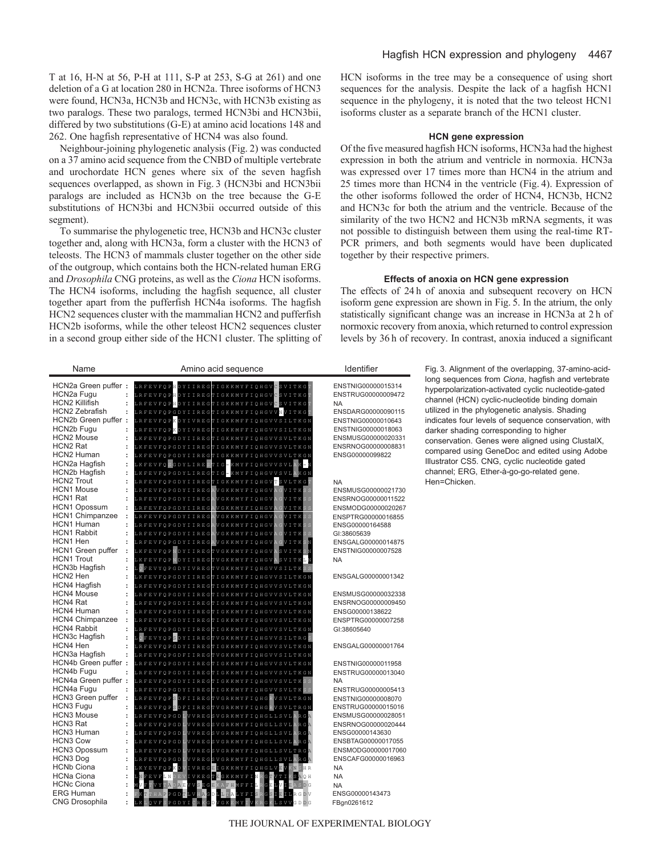T at 16, H-N at 56, P-H at 111, S-P at 253, S-G at 261) and one deletion of a G at location 280 in HCN2a. Three isoforms of HCN3 were found, HCN3a, HCN3b and HCN3c, with HCN3b existing as two paralogs. These two paralogs, termed HCN3bi and HCN3bii, differed by two substitutions (G-E) at amino acid locations 148 and 262. One hagfish representative of HCN4 was also found.

Neighbour-joining phylogenetic analysis (Fig. 2) was conducted on a 37 amino acid sequence from the CNBD of multiple vertebrate and urochordate HCN genes where six of the seven hagfish sequences overlapped, as shown in Fig. 3 (HCN3bi and HCN3bii paralogs are included as HCN3b on the tree because the G-E substitutions of HCN3bi and HCN3bii occurred outside of this segment).

To summarise the phylogenetic tree, HCN3b and HCN3c cluster together and, along with HCN3a, form a cluster with the HCN3 of teleosts. The HCN3 of mammals cluster together on the other side of the outgroup, which contains both the HCN-related human ERG and *Drosophila* CNG proteins, as well as the *Ciona* HCN isoforms. The HCN4 isoforms, including the hagfish sequence, all cluster together apart from the pufferfish HCN4a isoforms. The hagfish HCN2 sequences cluster with the mammalian HCN2 and pufferfish HCN2b isoforms, while the other teleost HCN2 sequences cluster in a second group either side of the HCN1 cluster. The splitting of HCN isoforms in the tree may be a consequence of using short sequences for the analysis. Despite the lack of a hagfish HCN1 sequence in the phylogeny, it is noted that the two teleost HCN1 isoforms cluster as a separate branch of the HCN1 cluster.

## **HCN gene expression**

Of the five measured hagfish HCN isoforms, HCN3a had the highest expression in both the atrium and ventricle in normoxia. HCN3a was expressed over 17 times more than HCN4 in the atrium and 25 times more than HCN4 in the ventricle (Fig. 4). Expression of the other isoforms followed the order of HCN4, HCN3b, HCN2 and HCN3c for both the atrium and the ventricle. Because of the similarity of the two HCN2 and HCN3b mRNA segments, it was not possible to distinguish between them using the real-time RT-PCR primers, and both segments would have been duplicated together by their respective primers.

## **Effects of anoxia on HCN gene expression**

The effects of 24 h of anoxia and subsequent recovery on HCN isoform gene expression are shown in Fig. 5. In the atrium, the only statistically significant change was an increase in HCN3a at 2 h of normoxic recovery from anoxia, which returned to control expression levels by 36 h of recovery. In contrast, anoxia induced a significant

| Name                                                       | Amino acid sequence                                                                                                                                                                                                                                                                                                        | Identifier                                            | Fig. 3. Alignment of the overlapping, 37-amino-acid-                                                                                                       |
|------------------------------------------------------------|----------------------------------------------------------------------------------------------------------------------------------------------------------------------------------------------------------------------------------------------------------------------------------------------------------------------------|-------------------------------------------------------|------------------------------------------------------------------------------------------------------------------------------------------------------------|
| HCN2a Green puffer:<br>HCN2a Fugu<br><b>HCN2 Killifish</b> | L R F E V F Q P <mark>H</mark> D Y I I R E G T I G K K M Y F I Q H G V <mark>C</mark> S V I T K G <mark>T</mark><br>L R F E V F Q P <mark>H</mark> D Y I I R E G T I G K K M Y F I Q H G V <mark>C</mark> S V I T K G<br>L R F E V F Q P <mark>H</mark> D Y I I R E G T I G K K M Y F I Q H G V <mark>C</mark> S V I T K G | ENSTNIG00000015314<br>ENSTRUG00000009472<br><b>NA</b> | long sequences from Ciona, hagfish and vertebrate<br>hyperpolarization-activated cyclic nucleotide-gated<br>channel (HCN) cyclic-nucleotide binding domain |
| <b>HCN2 Zebrafish</b><br>$\ddot{\phantom{a}}$              | L R F E V F Q P G D Y I I R E G T I G K K M Y F I Q H G V V <mark>N</mark> V I T K G                                                                                                                                                                                                                                       | ENSDARG00000090115                                    | utilized in the phylogenetic analysis. Shading                                                                                                             |
| HCN2b Green puffer:                                        | LRFEVFQPKDYIVREGTIGKKMFFIQHGVVSILTKGN                                                                                                                                                                                                                                                                                      | ENSTNIG00000010643                                    | indicates four levels of sequence conservation, with                                                                                                       |
| HCN2b Fugu<br>$\ddot{\phantom{a}}$                         | LRFEVFQPKDYIVREGTIGKKMFFIQHGVVSILTKGN                                                                                                                                                                                                                                                                                      | ENSTNIG00000018063                                    | darker shading corresponding to higher                                                                                                                     |
| <b>HCN2 Mouse</b><br>$\ddot{\phantom{a}}$                  | LKFEVFQPGDYIIREGTIGKKMYFIQHGVVSVLTKGN                                                                                                                                                                                                                                                                                      | ENSMUSG00000020331                                    | conservation. Genes were aligned using ClustalX,                                                                                                           |
| HCN2 Rat<br>$\ddot{\cdot}$                                 | KFEVFQPGDYIIREGTIGKKMYFIQHGVVSVLTKGN                                                                                                                                                                                                                                                                                       | ENSRNOG00000008831                                    | compared using GeneDoc and edited using Adobe                                                                                                              |
| HCN2 Human<br>$\ddot{\cdot}$                               | LKFEVFQPGDYIIREGTIGKKMYFIQHGVVSVLTKGN                                                                                                                                                                                                                                                                                      | ENSG00000099822                                       | Illustrator CS5. CNG, cyclic nucleotide gated                                                                                                              |
| HCN2a Hagfish                                              | L K F E V F Q S G D Y L I R E S T I G – K M Y F I Q H G V V S V L A K – N                                                                                                                                                                                                                                                  |                                                       |                                                                                                                                                            |
| <b>HCN2b Hagfish</b><br>$\ddot{\cdot}$                     | L K F E V F Q P G D Y L I R E G T I G - K M Y F I Q H G V V S V L <mark>A</mark> K G N                                                                                                                                                                                                                                     |                                                       | channel; ERG, Ether-à-go-go-related gene.                                                                                                                  |
| <b>HCN2 Trout</b>                                          | RFEVFQPGDYIIREGTIGKKMYFIQHGVTSVLTKG                                                                                                                                                                                                                                                                                        | <b>NA</b>                                             | Hen=Chicken.                                                                                                                                               |
| <b>HCN1</b> Mouse<br>HCN1 Rat                              | LRFEVFQPGDYIIREGAVGKKMYFIQHGV<br>VITK                                                                                                                                                                                                                                                                                      | ENSMUSG00000021730                                    |                                                                                                                                                            |
| <b>HCN1 Opossum</b><br>$\ddot{\phantom{a}}$                | V I T K<br>LRFEVFQPGDYIIREG!<br>VGKKMYFIQHGV<br>V I T K<br>LRFEVFQPGDYIIREG.<br>VGKKMYFIQHGV                                                                                                                                                                                                                               | ENSRNOG00000011522<br>ENSMODG00000020267              |                                                                                                                                                            |
| <b>HCN1 Chimpanzee</b><br>$\ddot{\cdot}$                   | V I T K<br>LRFEVFQPGDYIIREG.<br>VGKKMYFIQHGV                                                                                                                                                                                                                                                                               | ENSPTRG00000016855                                    |                                                                                                                                                            |
| HCN1 Human                                                 | V I T K<br>LRFEVFQPGDYIIREG.<br>VGKKMYFIQHGV                                                                                                                                                                                                                                                                               | ENSG00000164588                                       |                                                                                                                                                            |
| <b>HCN1 Rabbit</b><br>$\ddot{\phantom{a}}$                 | LRFEVFQPGDYIIREGAVGKKMYFIQHGV<br><b>GVITK</b>                                                                                                                                                                                                                                                                              | GI:38605639                                           |                                                                                                                                                            |
| HCN1 Hen<br>$\ddot{\cdot}$                                 | RFEVFQPGDYIIREGAVGKKMYFIQHGV<br>GVITKS                                                                                                                                                                                                                                                                                     | ENSGALG00000014875                                    |                                                                                                                                                            |
| HCN1 Green puffer<br>$\ddot{\cdot}$                        | L K F E V F Q P <mark>N</mark> D Y I I R E G T V G K K M Y F I Q H G V A S V I T K                                                                                                                                                                                                                                         | ENSTNIG00000007528                                    |                                                                                                                                                            |
| <b>HCN1</b> Trout<br>:                                     | KFEVFQPNDYIIREGTVGKKMYFIQHGVASVITKI                                                                                                                                                                                                                                                                                        | <b>NA</b>                                             |                                                                                                                                                            |
| HCN3b Hagfish<br>:                                         | QFEVYQPGDYIVREGTVGKKMYFIQHGVVSILTK                                                                                                                                                                                                                                                                                         |                                                       |                                                                                                                                                            |
| HCN2 Hen                                                   | KFEVFQPGDYIIREGTIGKKMYFIQHGVVSILTKGN                                                                                                                                                                                                                                                                                       | ENSGALG00000001342                                    |                                                                                                                                                            |
| <b>HCN4 Hagfish</b>                                        | LRFEVFQPGDYIIREGTIGKKMYFIQHGVVSVLTKGN                                                                                                                                                                                                                                                                                      |                                                       |                                                                                                                                                            |
| <b>HCN4 Mouse</b><br>HCN4 Rat                              | L R F E V F Q P G D Y I I R E G T I G K K M Y F I Q H G V V S V L T K G N                                                                                                                                                                                                                                                  | ENSMUSG00000032338                                    |                                                                                                                                                            |
| <b>HCN4 Human</b><br>$\ddot{\cdot}$                        | LRFEVFQPGDYIIREGTIGKKMYFIQHGVVSVLTKGN<br>LRFEVFQPGDYIIREGTIGKKMYFIQHGVVSVLTKGN                                                                                                                                                                                                                                             | ENSRNOG00000009450<br>ENSG00000138622                 |                                                                                                                                                            |
| <b>HCN4 Chimpanzee</b><br>$\ddot{\cdot}$                   | RFEVFQPGDYIIREGTIGKKMYFIQHGVVSVLTKGN                                                                                                                                                                                                                                                                                       | ENSPTRG00000007258                                    |                                                                                                                                                            |
| <b>HCN4 Rabbit</b><br>$\ddot{\phantom{a}}$                 | LRFEVFQPGDYIIREGTIGKKMYFIQHGVVSVLTKGN                                                                                                                                                                                                                                                                                      | GI:38605640                                           |                                                                                                                                                            |
| HCN3c Hagfish                                              | Q FEVY Q P S DYIIRE G T V G K K M Y F I Q H G V V S I L T R G                                                                                                                                                                                                                                                              |                                                       |                                                                                                                                                            |
| HCN4 Hen                                                   | LRFEVFQPGDYIIREGTIGKKMYFIQHGVVSVLTKGN                                                                                                                                                                                                                                                                                      | ENSGALG00000001764                                    |                                                                                                                                                            |
| HCN3a Hagfish                                              | LRFEVFQPGDFIIREGTVGKKMYFIQHGVVSILTKGN                                                                                                                                                                                                                                                                                      |                                                       |                                                                                                                                                            |
| HCN4b Green puffer:                                        | LRFEVFQPGDYIIREGTIGKKMYFIQHGVVSVLTKGN                                                                                                                                                                                                                                                                                      | ENSTNIG00000011958                                    |                                                                                                                                                            |
| HCN4b Fugu<br>$\cdot$                                      | LRFEVFQPGDYIIREGTIGKKMYFIQHGVVSVLTKGN                                                                                                                                                                                                                                                                                      | ENSTRUG00000013040                                    |                                                                                                                                                            |
| HCN4a Green puffer:                                        | LRFEVFQPGDYIIREGTIGKKMYFIQHGVVSVLTK                                                                                                                                                                                                                                                                                        | NA                                                    |                                                                                                                                                            |
| <b>HCN4a Fugu</b><br>$\ddot{\phantom{a}}$                  | LRFEVFQPGDYIIREGTIGKKMYFIQHGVVSVLTKS                                                                                                                                                                                                                                                                                       | ENSTRUG00000005413                                    |                                                                                                                                                            |
| HCN3 Green puffer :                                        | L R F E V F Q P <mark>S</mark> D F I I R E G T V G R K M Y F I Q H G <mark>R</mark> V S V L T R G N                                                                                                                                                                                                                        | ENSTNIG00000008070                                    |                                                                                                                                                            |
| HCN3 Fugu<br>$\ddot{\phantom{a}}$<br><b>HCN3</b> Mouse     | LRFEVFQPSDFIIREGTVGRKMYFIQHGRVSVLTRGN                                                                                                                                                                                                                                                                                      | ENSTRUG00000015016                                    |                                                                                                                                                            |
| <b>HCN3 Rat</b><br>$\ddot{\phantom{a}}$                    | L R F E V F Q P G D L V V R E G S V G R K M Y F I Q H G L L S V L A<br>R G<br>LRFEVFQPGDI<br>L V V R E G S V G R K M Y F I Q H G L L S V L A<br>R G                                                                                                                                                                        | ENSMUSG00000028051<br>ENSRNOG00000020444              |                                                                                                                                                            |
| <b>HCN3 Human</b><br>$\ddot{\phantom{a}}$                  | L R F E V F Q P G D L V V R E G S V G R K M Y F I Q H G L L S V L A R G                                                                                                                                                                                                                                                    | ENSG00000143630                                       |                                                                                                                                                            |
| <b>HCN3 Cow</b>                                            | VVREGSVGRKMYFIQHGLLSVLARG<br>LRFEVFQPGD                                                                                                                                                                                                                                                                                    | ENSBTAG00000017055                                    |                                                                                                                                                            |
| HCN3 Opossum                                               | <b>RFEVFQPGD</b><br>VVREGSVGRKMYFIQHGLLSVLTRG                                                                                                                                                                                                                                                                              | ENSMODG00000017060                                    |                                                                                                                                                            |
| HCN3 Dog                                                   | RFEVFQPGD<br>VVREGSVGRKMYFIQHGLLSVLARGA                                                                                                                                                                                                                                                                                    | ENSCAFG00000016963                                    |                                                                                                                                                            |
| <b>HCNb Ciona</b>                                          | KYEVFQPKD<br>I VREG <mark>E</mark> I GKKMYF I QHGLV <mark>E VK N SHR</mark>                                                                                                                                                                                                                                                | <b>NA</b>                                             |                                                                                                                                                            |
| <b>HCNa Ciona</b><br>$\ddot{\cdot}$                        | FEVFLNDEVIVKEGTE <mark>GKKMYFINRGTVTIKSAOH</mark>                                                                                                                                                                                                                                                                          | <b>NA</b>                                             |                                                                                                                                                            |
| <b>HCNc Ciona</b>                                          | VVSEGE<br>KAFHMFFI                                                                                                                                                                                                                                                                                                         | <b>NA</b>                                             |                                                                                                                                                            |
| <b>ERG Human</b>                                           | $\ddot{\phantom{a}}$<br>PGDT<br><b>VIACDLLTA</b><br><b>CDV</b>                                                                                                                                                                                                                                                             | ENSG00000143473                                       |                                                                                                                                                            |
| CNG Drosophila                                             | PGDYICR<br>OVF.<br>VGK                                                                                                                                                                                                                                                                                                     | FBgn0261612                                           |                                                                                                                                                            |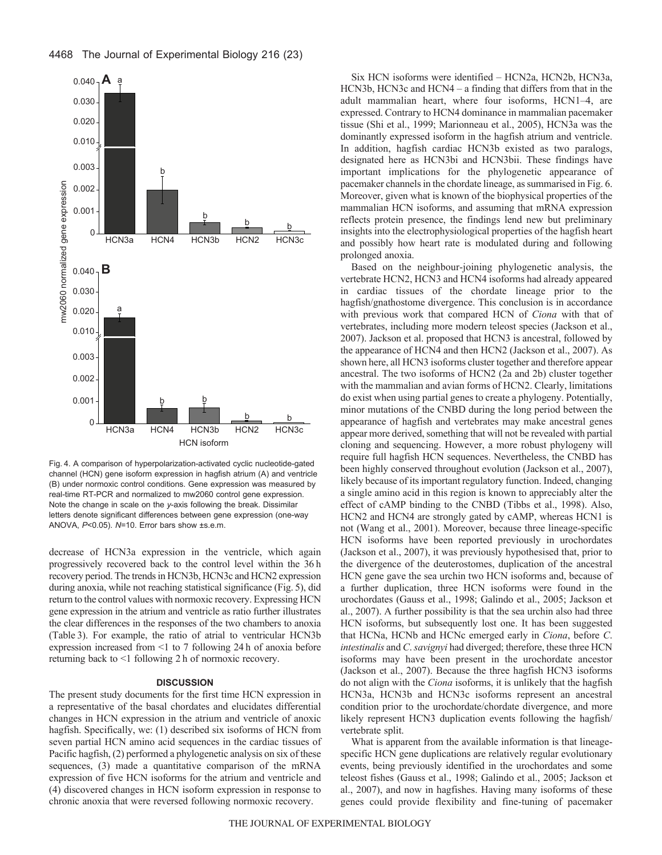

Fig. 4. A comparison of hyperpolarization-activated cyclic nucleotide-gated channel (HCN) gene isoform expression in hagfish atrium (A) and ventricle (B) under normoxic control conditions. Gene expression was measured by real-time RT-PCR and normalized to mw2060 control gene expression. Note the change in scale on the *y*-axis following the break. Dissimilar letters denote significant differences between gene expression (one-way ANOVA, *P*<0.05). *N*=10. Error bars show ±s.e.m.

decrease of HCN3a expression in the ventricle, which again progressively recovered back to the control level within the 36 h recovery period. The trends in HCN3b, HCN3c and HCN2 expression during anoxia, while not reaching statistical significance (Fig. 5), did return to the control values with normoxic recovery. Expressing HCN gene expression in the atrium and ventricle as ratio further illustrates the clear differences in the responses of the two chambers to anoxia (Table 3). For example, the ratio of atrial to ventricular HCN3b expression increased from <1 to 7 following 24 h of anoxia before returning back to <1 following 2 h of normoxic recovery.

### **DISCUSSION**

The present study documents for the first time HCN expression in a representative of the basal chordates and elucidates differential changes in HCN expression in the atrium and ventricle of anoxic hagfish. Specifically, we: (1) described six isoforms of HCN from seven partial HCN amino acid sequences in the cardiac tissues of Pacific hagfish, (2) performed a phylogenetic analysis on six of these sequences, (3) made a quantitative comparison of the mRNA expression of five HCN isoforms for the atrium and ventricle and (4) discovered changes in HCN isoform expression in response to chronic anoxia that were reversed following normoxic recovery.

Six HCN isoforms were identified – HCN2a, HCN2b, HCN3a, HCN3b, HCN3c and HCN4 – a finding that differs from that in the adult mammalian heart, where four isoforms, HCN1–4, are expressed. Contrary to HCN4 dominance in mammalian pacemaker tissue (Shi et al., 1999; Marionneau et al., 2005), HCN3a was the dominantly expressed isoform in the hagfish atrium and ventricle. In addition, hagfish cardiac HCN3b existed as two paralogs, designated here as HCN3bi and HCN3bii. These findings have important implications for the phylogenetic appearance of pacemaker channels in the chordate lineage, as summarised in Fig. 6. Moreover, given what is known of the biophysical properties of the mammalian HCN isoforms, and assuming that mRNA expression reflects protein presence, the findings lend new but preliminary insights into the electrophysiological properties of the hagfish heart and possibly how heart rate is modulated during and following prolonged anoxia.

Based on the neighbour-joining phylogenetic analysis, the vertebrate HCN2, HCN3 and HCN4 isoforms had already appeared in cardiac tissues of the chordate lineage prior to the hagfish/gnathostome divergence. This conclusion is in accordance with previous work that compared HCN of *Ciona* with that of vertebrates, including more modern teleost species (Jackson et al., 2007). Jackson et al. proposed that HCN3 is ancestral, followed by the appearance of HCN4 and then HCN2 (Jackson et al., 2007). As shown here, all HCN3 isoforms cluster together and therefore appear ancestral. The two isoforms of HCN2 (2a and 2b) cluster together with the mammalian and avian forms of HCN2. Clearly, limitations do exist when using partial genes to create a phylogeny. Potentially, minor mutations of the CNBD during the long period between the appearance of hagfish and vertebrates may make ancestral genes appear more derived, something that will not be revealed with partial cloning and sequencing. However, a more robust phylogeny will require full hagfish HCN sequences. Nevertheless, the CNBD has been highly conserved throughout evolution (Jackson et al., 2007), likely because of its important regulatory function. Indeed, changing a single amino acid in this region is known to appreciably alter the effect of cAMP binding to the CNBD (Tibbs et al., 1998). Also, HCN2 and HCN4 are strongly gated by cAMP, whereas HCN1 is not (Wang et al., 2001). Moreover, because three lineage-specific HCN isoforms have been reported previously in urochordates (Jackson et al., 2007), it was previously hypothesised that, prior to the divergence of the deuterostomes, duplication of the ancestral HCN gene gave the sea urchin two HCN isoforms and, because of a further duplication, three HCN isoforms were found in the urochordates (Gauss et al., 1998; Galindo et al., 2005; Jackson et al., 2007). A further possibility is that the sea urchin also had three HCN isoforms, but subsequently lost one. It has been suggested that HCNa, HCNb and HCNc emerged early in *Ciona*, before *C*. *intestinalis* and *C*. *savignyi* had diverged; therefore, these three HCN isoforms may have been present in the urochordate ancestor (Jackson et al., 2007). Because the three hagfish HCN3 isoforms do not align with the *Ciona* isoforms, it is unlikely that the hagfish HCN3a, HCN3b and HCN3c isoforms represent an ancestral condition prior to the urochordate/chordate divergence, and more likely represent HCN3 duplication events following the hagfish/ vertebrate split.

What is apparent from the available information is that lineagespecific HCN gene duplications are relatively regular evolutionary events, being previously identified in the urochordates and some teleost fishes (Gauss et al., 1998; Galindo et al., 2005; Jackson et al., 2007), and now in hagfishes. Having many isoforms of these genes could provide flexibility and fine-tuning of pacemaker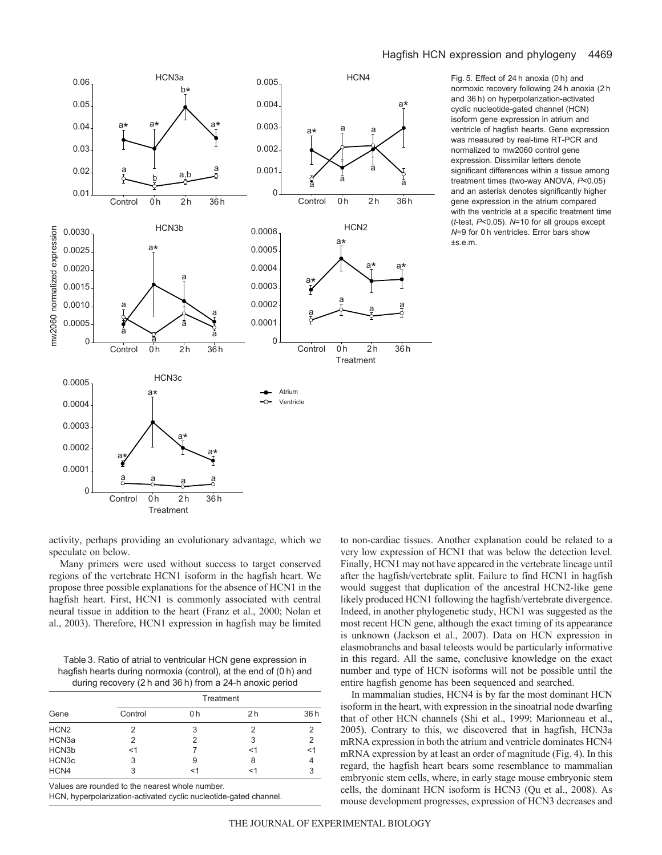

Fig. 5. Effect of 24 h anoxia (0 h) and normoxic recovery following 24 h anoxia (2 h and 36 h) on hyperpolarization-activated cyclic nucleotide-gated channel (HCN) isoform gene expression in atrium and ventricle of hagfish hearts. Gene expression was measured by real-time RT-PCR and normalized to mw2060 control gene expression. Dissimilar letters denote significant differences within a tissue among treatment times (two-way ANOVA, *P*<0.05) and an asterisk denotes significantly higher gene expression in the atrium compared with the ventricle at a specific treatment time (*t*-test, *P*<0.05). *N*=10 for all groups except *N*=9 for 0 h ventricles. Error bars show ±s.e.m.

activity, perhaps providing an evolutionary advantage, which we speculate on below.

Many primers were used without success to target conserved regions of the vertebrate HCN1 isoform in the hagfish heart. We propose three possible explanations for the absence of HCN1 in the hagfish heart. First, HCN1 is commonly associated with central neural tissue in addition to the heart (Franz et al., 2000; Nolan et al., 2003). Therefore, HCN1 expression in hagfish may be limited

Table 3. Ratio of atrial to ventricular HCN gene expression in hagfish hearts during normoxia (control), at the end of (0 h) and during recovery (2 h and 36 h) from a 24-h anoxic period

| Gene             | Treatment |     |                |     |
|------------------|-----------|-----|----------------|-----|
|                  | Control   | 0 h | 2 <sub>h</sub> | 36h |
| HCN <sub>2</sub> |           | 3   |                |     |
| HCN3a            | 2         | 2   | 3              | 2   |
| HCN3b            | <1        |     | <1             | <1  |
| HCN3c            | 3         | 9   | 8              |     |
| HCN4             | 3         | <1  |                |     |

Values are rounded to the nearest whole number.

HCN, hyperpolarization-activated cyclic nucleotide-gated channel.

to non-cardiac tissues. Another explanation could be related to a very low expression of HCN1 that was below the detection level. Finally, HCN1 may not have appeared in the vertebrate lineage until after the hagfish/vertebrate split. Failure to find HCN1 in hagfish would suggest that duplication of the ancestral HCN2-like gene likely produced HCN1 following the hagfish/vertebrate divergence. Indeed, in another phylogenetic study, HCN1 was suggested as the most recent HCN gene, although the exact timing of its appearance is unknown (Jackson et al., 2007). Data on HCN expression in elasmobranchs and basal teleosts would be particularly informative in this regard. All the same, conclusive knowledge on the exact number and type of HCN isoforms will not be possible until the entire hagfish genome has been sequenced and searched.

In mammalian studies, HCN4 is by far the most dominant HCN isoform in the heart, with expression in the sinoatrial node dwarfing that of other HCN channels (Shi et al., 1999; Marionneau et al., 2005). Contrary to this, we discovered that in hagfish, HCN3a mRNA expression in both the atrium and ventricle dominates HCN4 mRNA expression by at least an order of magnitude (Fig. 4). In this regard, the hagfish heart bears some resemblance to mammalian embryonic stem cells, where, in early stage mouse embryonic stem cells, the dominant HCN isoform is HCN3 (Qu et al., 2008). As mouse development progresses, expression of HCN3 decreases and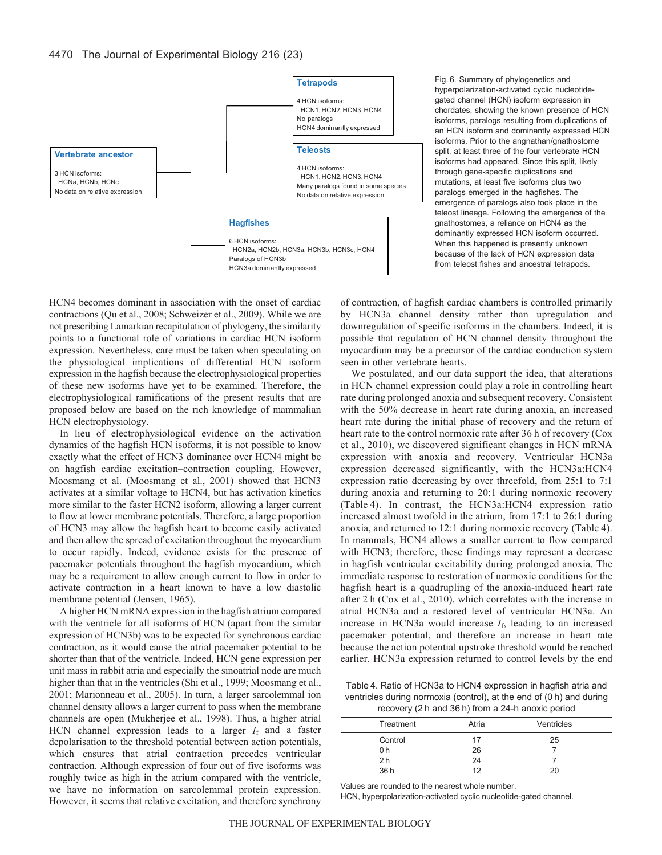

Fig. 6. Summary of phylogenetics and hyperpolarization-activated cyclic nucleotidegated channel (HCN) isoform expression in chordates, showing the known presence of HCN isoforms, paralogs resulting from duplications of an HCN isoform and dominantly expressed HCN isoforms. Prior to the angnathan/gnathostome split, at least three of the four vertebrate HCN isoforms had appeared. Since this split, likely through gene-specific duplications and mutations, at least five isoforms plus two paralogs emerged in the hagfishes. The emergence of paralogs also took place in the teleost lineage. Following the emergence of the gnathostomes, a reliance on HCN4 as the dominantly expressed HCN isoform occurred. When this happened is presently unknown because of the lack of HCN expression data from teleost fishes and ancestral tetrapods.

HCN4 becomes dominant in association with the onset of cardiac contractions (Qu et al., 2008; Schweizer et al., 2009). While we are not prescribing Lamarkian recapitulation of phylogeny, the similarity points to a functional role of variations in cardiac HCN isoform expression. Nevertheless, care must be taken when speculating on the physiological implications of differential HCN isoform expression in the hagfish because the electrophysiological properties of these new isoforms have yet to be examined. Therefore, the electrophysiological ramifications of the present results that are proposed below are based on the rich knowledge of mammalian HCN electrophysiology.

In lieu of electrophysiological evidence on the activation dynamics of the hagfish HCN isoforms, it is not possible to know exactly what the effect of HCN3 dominance over HCN4 might be on hagfish cardiac excitation–contraction coupling. However, Moosmang et al. (Moosmang et al., 2001) showed that HCN3 activates at a similar voltage to HCN4, but has activation kinetics more similar to the faster HCN2 isoform, allowing a larger current to flow at lower membrane potentials. Therefore, a large proportion of HCN3 may allow the hagfish heart to become easily activated and then allow the spread of excitation throughout the myocardium to occur rapidly. Indeed, evidence exists for the presence of pacemaker potentials throughout the hagfish myocardium, which may be a requirement to allow enough current to flow in order to activate contraction in a heart known to have a low diastolic membrane potential (Jensen, 1965).

A higher HCN mRNA expression in the hagfish atrium compared with the ventricle for all isoforms of HCN (apart from the similar expression of HCN3b) was to be expected for synchronous cardiac contraction, as it would cause the atrial pacemaker potential to be shorter than that of the ventricle. Indeed, HCN gene expression per unit mass in rabbit atria and especially the sinoatrial node are much higher than that in the ventricles (Shi et al., 1999; Moosmang et al., 2001; Marionneau et al., 2005). In turn, a larger sarcolemmal ion channel density allows a larger current to pass when the membrane channels are open (Mukherjee et al., 1998). Thus, a higher atrial HCN channel expression leads to a larger  $I_f$  and a faster depolarisation to the threshold potential between action potentials, which ensures that atrial contraction precedes ventricular contraction. Although expression of four out of five isoforms was roughly twice as high in the atrium compared with the ventricle, we have no information on sarcolemmal protein expression. However, it seems that relative excitation, and therefore synchrony of contraction, of hagfish cardiac chambers is controlled primarily by HCN3a channel density rather than upregulation and downregulation of specific isoforms in the chambers. Indeed, it is possible that regulation of HCN channel density throughout the myocardium may be a precursor of the cardiac conduction system seen in other vertebrate hearts.

We postulated, and our data support the idea, that alterations in HCN channel expression could play a role in controlling heart rate during prolonged anoxia and subsequent recovery. Consistent with the 50% decrease in heart rate during anoxia, an increased heart rate during the initial phase of recovery and the return of heart rate to the control normoxic rate after 36 h of recovery (Cox et al., 2010), we discovered significant changes in HCN mRNA expression with anoxia and recovery. Ventricular HCN3a expression decreased significantly, with the HCN3a:HCN4 expression ratio decreasing by over threefold, from 25:1 to 7:1 during anoxia and returning to 20:1 during normoxic recovery (Table 4). In contrast, the HCN3a:HCN4 expression ratio increased almost twofold in the atrium, from 17:1 to 26:1 during anoxia, and returned to 12:1 during normoxic recovery (Table 4). In mammals, HCN4 allows a smaller current to flow compared with HCN3; therefore, these findings may represent a decrease in hagfish ventricular excitability during prolonged anoxia. The immediate response to restoration of normoxic conditions for the hagfish heart is a quadrupling of the anoxia-induced heart rate after 2 h (Cox et al., 2010), which correlates with the increase in atrial HCN3a and a restored level of ventricular HCN3a. An increase in HCN3a would increase  $I_f$ , leading to an increased pacemaker potential, and therefore an increase in heart rate because the action potential upstroke threshold would be reached earlier. HCN3a expression returned to control levels by the end

Table 4. Ratio of HCN3a to HCN4 expression in hagfish atria and ventricles during normoxia (control), at the end of (0 h) and during recovery (2 h and 36 h) from a 24-h anoxic period

|                | $1000101$ , $E11$ and $UU1$ , nomed $E1$ in anome ponda |            |  |
|----------------|---------------------------------------------------------|------------|--|
| Treatment      | Atria                                                   | Ventricles |  |
| Control        | 17                                                      | 25         |  |
| 0 h            | 26                                                      |            |  |
| 2 <sub>h</sub> | 24                                                      |            |  |
| 36h            | 12                                                      | 20         |  |

Values are rounded to the nearest whole number.

HCN, hyperpolarization-activated cyclic nucleotide-gated channel.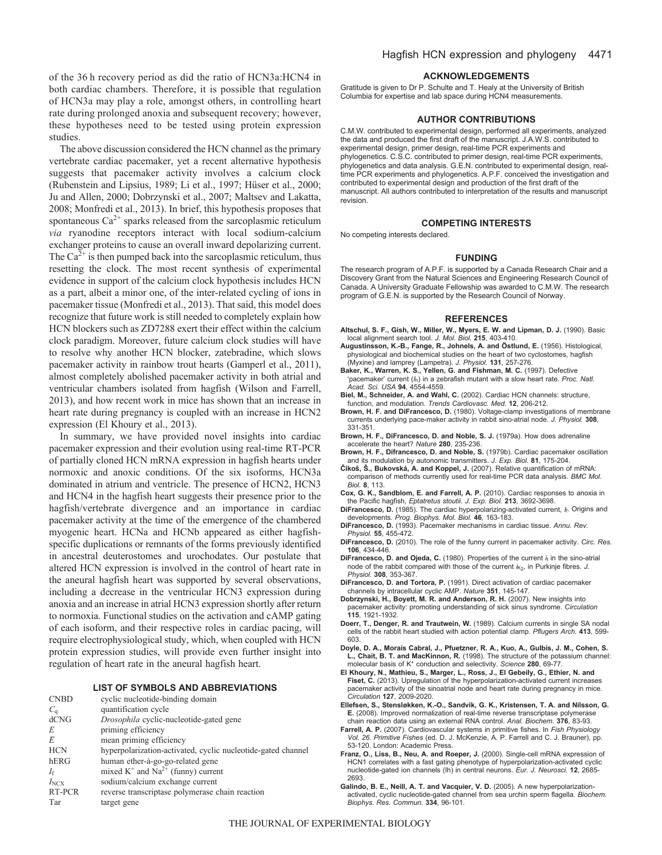of the 36 h recovery period as did the ratio of HCN3a:HCN4 in both cardiac chambers. Therefore, it is possible that regulation of HCN3a may play a role, amongst others, in controlling heart rate during prolonged anoxia and subsequent recovery; however, these hypotheses need to be tested using protein expression studies.

The above discussion considered the HCN channel as the primary vertebrate cardiac pacemaker, yet a recent alternative hypothesis suggests that pacemaker activity involves a calcium clock (Rubenstein and Lipsius, 1989; Li et al., 1997; Hüser et al., 2000; Ju and Allen, 2000; Dobrzynski et al., 2007; Maltsev and Lakatta, 2008; Monfredi et al., 2013). In brief, this hypothesis proposes that spontaneous  $Ca^{2+}$  sparks released from the sarcoplasmic reticulum *via* ryanodine receptors interact with local sodium-calcium exchanger proteins to cause an overall inward depolarizing current. The  $Ca^{2+}$  is then pumped back into the sarcoplasmic reticulum, thus resetting the clock. The most recent synthesis of experimental evidence in support of the calcium clock hypothesis includes HCN as a part, albeit a minor one, of the inter-related cycling of ions in pacemaker tissue (Monfredi et al., 2013). That said, this model does recognize that future work is still needed to completely explain how HCN blockers such as ZD7288 exert their effect within the calcium clock paradigm. Moreover, future calcium clock studies will have to resolve why another HCN blocker, zatebradine, which slows pacemaker activity in rainbow trout hearts (Gamperl et al., 2011), almost completely abolished pacemaker activity in both atrial and ventricular chambers isolated from hagfish (Wilson and Farrell, 2013), and how recent work in mice has shown that an increase in heart rate during pregnancy is coupled with an increase in HCN2 expression (El Khoury et al., 2013).

In summary, we have provided novel insights into cardiac pacemaker expression and their evolution using real-time RT-PCR of partially cloned HCN mRNA expression in hagfish hearts under normoxic and anoxic conditions. Of the six isoforms, HCN3a dominated in atrium and ventricle. The presence of HCN2, HCN3 and HCN4 in the hagfish heart suggests their presence prior to the hagfish/vertebrate divergence and an importance in cardiac pacemaker activity at the time of the emergence of the chambered myogenic heart. HCNa and HCNb appeared as either hagfishspecific duplications or remnants of the forms previously identified in ancestral deuterostomes and urochodates. Our postulate that altered HCN expression is involved in the control of heart rate in the aneural hagfish heart was supported by several observations, including a decrease in the ventricular HCN3 expression during anoxia and an increase in atrial HCN3 expression shortly after return to normoxia. Functional studies on the activation and cAMP gating of each isoform, and their respective roles in cardiac pacing, will require electrophysiological study, which, when coupled with HCN protein expression studies, will provide even further insight into regulation of heart rate in the aneural hagfish heart.

### **LIST OF SYMBOLS AND ABBREVIATIONS**

| <b>CNBD</b>        | cyclic nucleotide-binding domain                             |
|--------------------|--------------------------------------------------------------|
| $C_{\mathfrak{a}}$ | quantification cycle                                         |
| dCNG               | Drosophila cyclic-nucleotide-gated gene                      |
| E                  | priming efficiency                                           |
| Ē                  | mean priming efficiency                                      |
| <b>HCN</b>         | hyperpolarization-activated, cyclic nucleotide-gated channel |
| hERG               | human ether-à-go-go-related gene                             |
| If                 | mixed $K^+$ and $Na^{2+}$ (funny) current                    |
| $I_{\text{NCX}}$   | sodium/calcium exchange current                              |
| RT-PCR             | reverse transcriptase polymerase chain reaction              |
| Tar                | target gene                                                  |

### **ACKNOWLEDGEMENTS**

Gratitude is given to Dr P. Schulte and T. Healy at the University of British Columbia for expertise and lab space during HCN4 measurements.

### **AUTHOR CONTRIBUTIONS**

C.M.W. contributed to experimental design, performed all experiments, analyzed the data and produced the first draft of the manuscript. J.A.W.S. contributed to experimental design, primer design, real-time PCR experiments and phylogenetics. C.S.C. contributed to primer design, real-time PCR experiments, phylogenetics and data analysis. G.E.N. contributed to experimental design, realtime PCR experiments and phylogenetics. A.P.F. conceived the investigation and contributed to experimental design and production of the first draft of the manuscript. All authors contributed to interpretation of the results and manuscript revision.

### **COMPETING INTERESTS**

No competing interests declared.

#### **FUNDING**

The research program of A.P.F. is supported by a Canada Research Chair and a Discovery Grant from the Natural Sciences and Engineering Research Council of Canada. A University Graduate Fellowship was awarded to C.M.W. The research program of G.E.N. is supported by the Research Council of Norway.

### **REFERENCES**

- **Altschul, S. F., Gish, W., Miller, W., Myers, E. W. and Lipman, D. J.** (1990). Basic local alignment search tool. *J. Mol. Biol.* **215**, 403-410.
- **Augustinsson, K.-B., Fange, R., Johnels, A. and Östlund, E.** (1956). Histological, physiological and biochemical studies on the heart of two cyclostomes, hagfish (Myxine) and lamprey (Lampetra). *J. Physiol.* **131**, 257-276.
- **Baker, K., Warren, K. S., Yellen, G. and Fishman, M. C.** (1997). Defective 'pacemaker' current (*I*h) in a zebrafish mutant with a slow heart rate. *Proc. Natl. Acad. Sci. USA* **94**, 4554-4559.
- **Biel, M., Schneider, A. and Wahl, C.** (2002). Cardiac HCN channels: structure, function, and modulation. *Trends Cardiovasc. Med.* **12**, 206-212.
- **Brown, H. F. and DiFrancesco, D.** (1980). Voltage-clamp investigations of membrane currents underlying pace-maker activity in rabbit sino-atrial node. *J. Physiol.* **308**, 331-351.
- **Brown, H. F., DiFrancesco, D. and Noble, S. J.** (1979a). How does adrenaline accelerate the heart? *Nature* **280**, 235-236.
- **Brown, H. F., Difrancesco, D. and Noble, S.** (1979b). Cardiac pacemaker oscillation and its modulation by autonomic transmitters. *J. Exp. Biol.* **81**, 175-204.
- **Čikoš, Š., Bukovská, A. and Koppel, J.** (2007). Relative quantification of mRNA: comparison of methods currently used for real-time PCR data analysis. *BMC Mol. Biol.* **8**, 113.
- **Cox, G. K., Sandblom, E. and Farrell, A. P.** (2010). Cardiac responses to anoxia in the Pacific hagfish, *Eptatretus stoutii*. *J. Exp. Biol.* **213**, 3692-3698.
- **DiFrancesco, D.** (1985). The cardiac hyperpolarizing-activated current, *I*f. Origins and developments. *Prog. Biophys. Mol. Biol.* **46**, 163-183.
- **DiFrancesco, D.** (1993). Pacemaker mechanisms in cardiac tissue. *Annu. Rev. Physiol.* **55**, 455-472.
- **DiFrancesco, D.** (2010). The role of the funny current in pacemaker activity. *Circ. Res.* **106**, 434-446.
- **DiFrancesco, D. and Ojeda, C.** (1980). Properties of the current *i*<sup>f</sup> in the sino-atrial node of the rabbit compared with those of the current  $i_{K_2}$ , in Purkinje fibres. J. *Physiol.* **308**, 353-367.
- **DiFrancesco, D. and Tortora, P.** (1991). Direct activation of cardiac pacemaker channels by intracellular cyclic AMP. *Nature* **351**, 145-147.
- **Dobrzynski, H., Boyett, M. R. and Anderson, R. H.** (2007). New insights into pacemaker activity: promoting understanding of sick sinus syndrome. *Circulation* **115**, 1921-1932.
- **Doerr, T., Denger, R. and Trautwein, W.** (1989). Calcium currents in single SA nodal cells of the rabbit heart studied with action potential clamp. *Pflugers Arch.* **413**, 599- 603.
- **Doyle, D. A., Morais Cabral, J., Pfuetzner, R. A., Kuo, A., Gulbis, J. M., Cohen, S. L., Chait, B. T. and MacKinnon, R.** (1998). The structure of the potassium channel: molecular basis of K+ conduction and selectivity. *Science* **280**, 69-77.
- **El Khoury, N., Mathieu, S., Marger, L., Ross, J., El Gebeily, G., Ethier, N. and Fiset, C.** (2013). Upregulation of the hyperpolarization-activated current increases pacemaker activity of the sinoatrial node and heart rate during pregnancy in mice. *Circulation* **127**, 2009-2020.
- **Ellefsen, S., Stensløkken, K.-O., Sandvik, G. K., Kristensen, T. A. and Nilsson, G. E.** (2008). Improved normalization of real-time reverse transcriptase polymerase chain reaction data using an external RNA control. *Anal. Biochem.* **376**, 83-93.
- **Farrell, A. P.** (2007). Cardiovascular systems in primitive fishes. In *Fish Physiology Vol. 26. Primitive Fishes* (ed. D. J. McKenzie, A. P. Farrell and C. J. Brauner), pp. 53-120. London: Academic Press.
- **Franz, O., Liss, B., Neu, A. and Roeper, J.** (2000). Single-cell mRNA expression of HCN1 correlates with a fast gating phenotype of hyperpolarization-activated cyclic nucleotide-gated ion channels (Ih) in central neurons. *Eur. J. Neurosci.* **12**, 2685- 2693.
- **Galindo, B. E., Neill, A. T. and Vacquier, V. D.** (2005). A new hyperpolarizationactivated, cyclic nucleotide-gated channel from sea urchin sperm flagella. *Biochem. Biophys. Res. Commun.* **334**, 96-101.